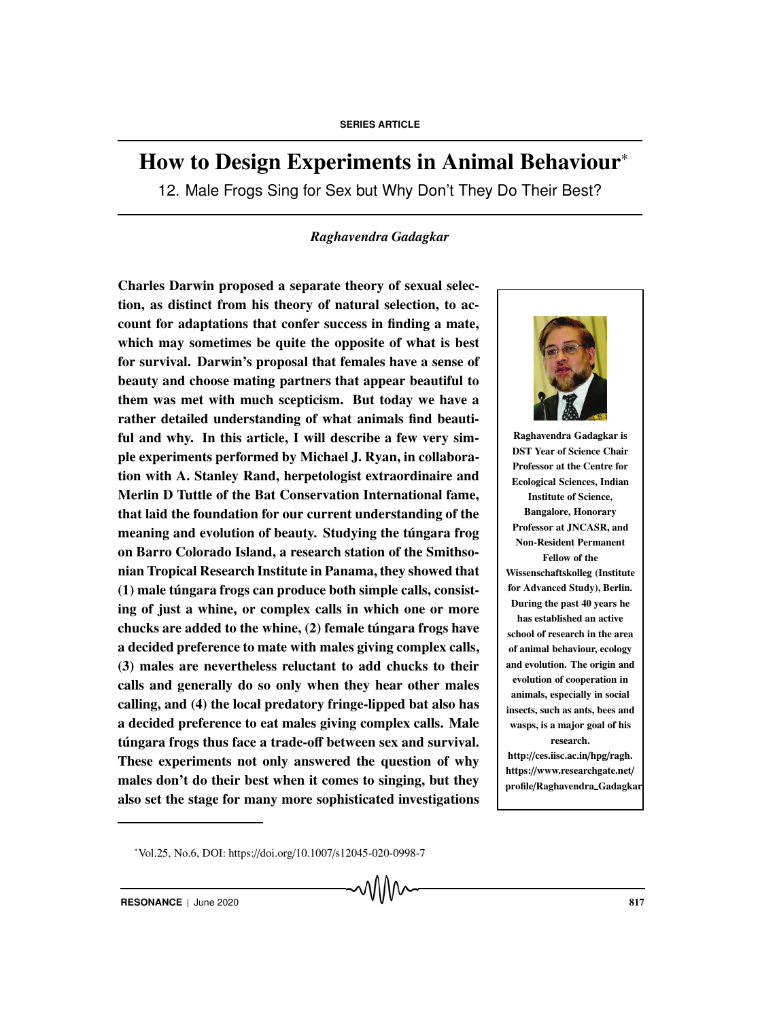# How to Design Experiments in Animal Behaviour<sup>∗</sup>

12. Male Frogs Sing for Sex but Why Don't They Do Their Best?

# *Raghavendra Gadagkar*

Charles Darwin proposed a separate theory of sexual selection, as distinct from his theory of natural selection, to account for adaptations that confer success in finding a mate, which may sometimes be quite the opposite of what is best for survival. Darwin's proposal that females have a sense of beauty and choose mating partners that appear beautiful to them was met with much scepticism. But today we have a rather detailed understanding of what animals find beautiful and why. In this article, I will describe a few very simple experiments performed by Michael J. Ryan, in collaboration with A. Stanley Rand, herpetologist extraordinaire and Merlin D Tuttle of the Bat Conservation International fame, that laid the foundation for our current understanding of the meaning and evolution of beauty. Studying the tungara frog on Barro Colorado Island, a research station of the Smithsonian Tropical Research Institute in Panama, they showed that  $(1)$  male tungara frogs can produce both simple calls, consisting of just a whine, or complex calls in which one or more chucks are added to the whine, (2) female tungara frogs have a decided preference to mate with males giving complex calls, (3) males are nevertheless reluctant to add chucks to their calls and generally do so only when they hear other males calling, and (4) the local predatory fringe-lipped bat also has a decided preference to eat males giving complex calls. Male túngara frogs thus face a trade-off between sex and survival. These experiments not only answered the question of why males don't do their best when it comes to singing, but they also set the stage for many more sophisticated investigations



Raghavendra Gadagkar is DST Year of Science Chair Professor at the Centre for Ecological Sciences, Indian Institute of Science, Bangalore, Honorary Professor at JNCASR, and Non-Resident Permanent Fellow of the Wissenschaftskolleg (Institute for Advanced Study), Berlin. During the past 40 years he has established an active school of research in the area of animal behaviour, ecology and evolution. The origin and evolution of cooperation in animals, especially in social insects, such as ants, bees and wasps, is a major goal of his research. http://ces.iisc.ac.in/hpg/ragh.

https://www.researchgate.net/ profile/Raghavendra Gadagkar

<sup>∗</sup> Vol.25, No.6, DOI: https://doi.org/10.1007/s12045-020-0998-7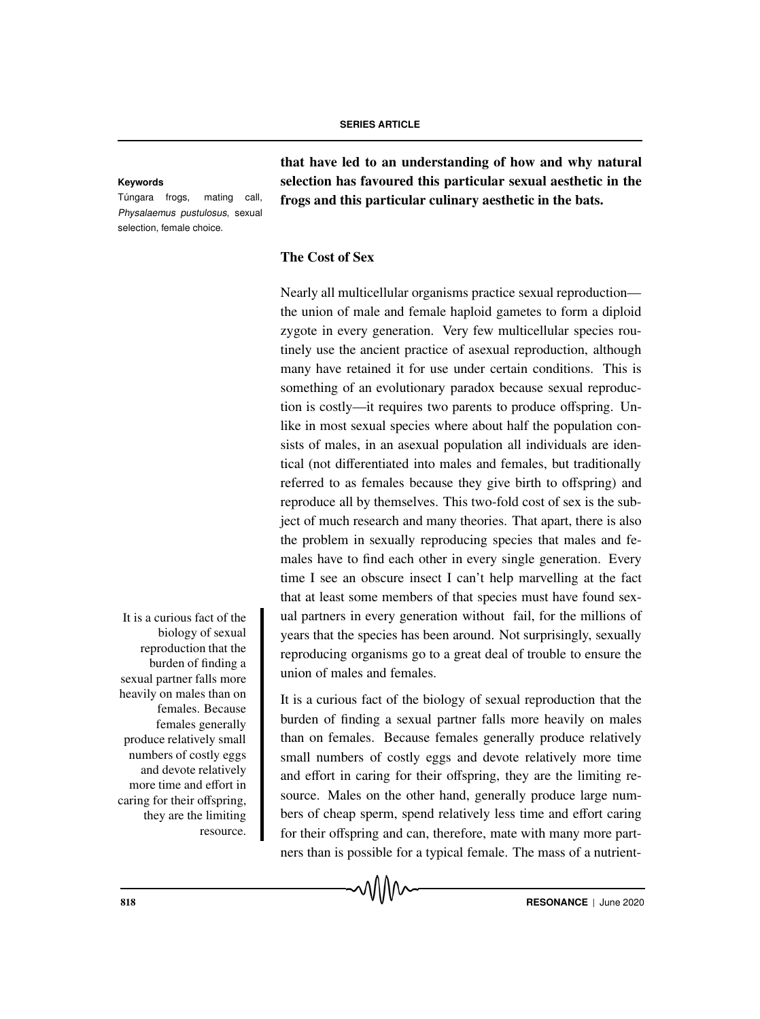Túngara frogs, mating call, Physalaemus pustulosus, sexual selection, female choice.

that have led to an understanding of how and why natural **Keywords** selection has favoured this particular sexual aesthetic in the frogs and this particular culinary aesthetic in the bats.

# The Cost of Sex

Nearly all multicellular organisms practice sexual reproduction the union of male and female haploid gametes to form a diploid zygote in every generation. Very few multicellular species routinely use the ancient practice of asexual reproduction, although many have retained it for use under certain conditions. This is something of an evolutionary paradox because sexual reproduction is costly—it requires two parents to produce offspring. Unlike in most sexual species where about half the population consists of males, in an asexual population all individuals are identical (not differentiated into males and females, but traditionally referred to as females because they give birth to offspring) and reproduce all by themselves. This two-fold cost of sex is the subject of much research and many theories. That apart, there is also the problem in sexually reproducing species that males and females have to find each other in every single generation. Every time I see an obscure insect I can't help marvelling at the fact that at least some members of that species must have found sex-It is a curious fact of the ual partners in every generation without fail, for the millions of years that the species has been around. Not surprisingly, sexually reproducing organisms go to a great deal of trouble to ensure the union of males and females.

> It is a curious fact of the biology of sexual reproduction that the burden of finding a sexual partner falls more heavily on males than on females. Because females generally produce relatively small numbers of costly eggs and devote relatively more time and effort in caring for their offspring, they are the limiting resource. Males on the other hand, generally produce large numbers of cheap sperm, spend relatively less time and effort caring for their offspring and can, therefore, mate with many more partners than is possible for a typical female. The mass of a nutrient-

biology of sexual reproduction that the burden of finding a sexual partner falls more heavily on males than on females. Because females generally produce relatively small numbers of costly eggs and devote relatively more time and effort in caring for their offspring, they are the limiting resource.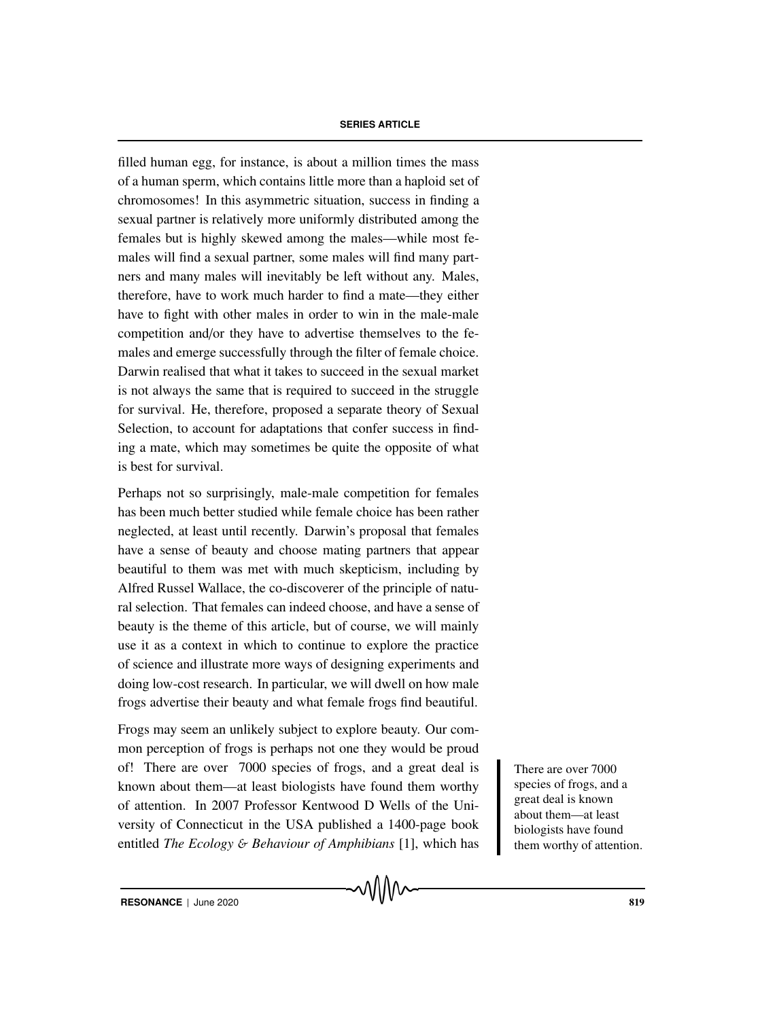filled human egg, for instance, is about a million times the mass of a human sperm, which contains little more than a haploid set of chromosomes! In this asymmetric situation, success in finding a sexual partner is relatively more uniformly distributed among the females but is highly skewed among the males—while most females will find a sexual partner, some males will find many partners and many males will inevitably be left without any. Males, therefore, have to work much harder to find a mate—they either have to fight with other males in order to win in the male-male competition and/or they have to advertise themselves to the females and emerge successfully through the filter of female choice. Darwin realised that what it takes to succeed in the sexual market is not always the same that is required to succeed in the struggle for survival. He, therefore, proposed a separate theory of Sexual Selection, to account for adaptations that confer success in finding a mate, which may sometimes be quite the opposite of what is best for survival.

Perhaps not so surprisingly, male-male competition for females has been much better studied while female choice has been rather neglected, at least until recently. Darwin's proposal that females have a sense of beauty and choose mating partners that appear beautiful to them was met with much skepticism, including by Alfred Russel Wallace, the co-discoverer of the principle of natural selection. That females can indeed choose, and have a sense of beauty is the theme of this article, but of course, we will mainly use it as a context in which to continue to explore the practice of science and illustrate more ways of designing experiments and doing low-cost research. In particular, we will dwell on how male frogs advertise their beauty and what female frogs find beautiful.

Frogs may seem an unlikely subject to explore beauty. Our common perception of frogs is perhaps not one they would be proud of! There are over 7000 species of frogs, and a great deal is There are over 7000 known about them—at least biologists have found them worthy of attention. In 2007 Professor Kentwood D Wells of the University of Connecticut in the USA published a 1400-page book entitled *The Ecology* & *Behaviour of Amphibians* [1], which has

species of frogs, and a great deal is known about them—at least biologists have found them worthy of attention.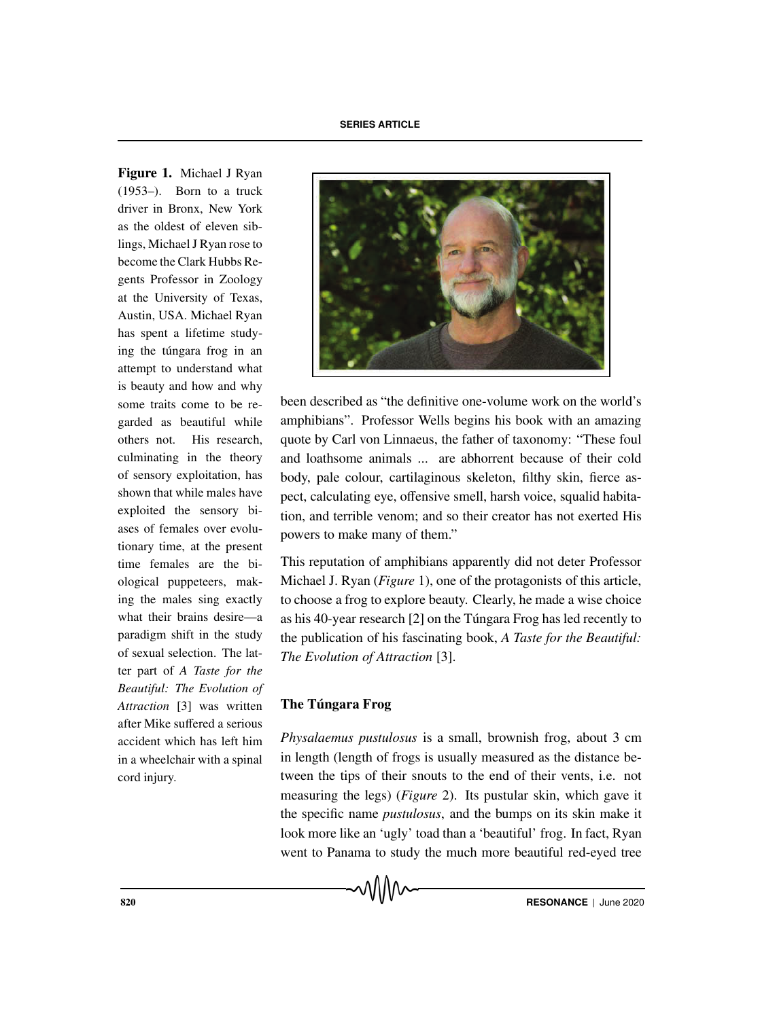Figure 1. Michael J Ryan (1953–). Born to a truck driver in Bronx, New York as the oldest of eleven siblings, Michael J Ryan rose to become the Clark Hubbs Regents Professor in Zoology at the University of Texas, Austin, USA. Michael Ryan has spent a lifetime studying the túngara frog in an attempt to understand what is beauty and how and why some traits come to be regarded as beautiful while others not. His research, culminating in the theory of sensory exploitation, has shown that while males have exploited the sensory biases of females over evolutionary time, at the present time females are the biological puppeteers, making the males sing exactly what their brains desire—a paradigm shift in the study of sexual selection. The latter part of *A Taste for the Beautiful: The Evolution of Attraction* [3] was written after Mike suffered a serious accident which has left him in a wheelchair with a spinal cord injury.



been described as "the definitive one-volume work on the world's amphibians". Professor Wells begins his book with an amazing quote by Carl von Linnaeus, the father of taxonomy: "These foul and loathsome animals ... are abhorrent because of their cold body, pale colour, cartilaginous skeleton, filthy skin, fierce aspect, calculating eye, offensive smell, harsh voice, squalid habitation, and terrible venom; and so their creator has not exerted His powers to make many of them."

This reputation of amphibians apparently did not deter Professor Michael J. Ryan (*Figure* 1), one of the protagonists of this article, to choose a frog to explore beauty. Clearly, he made a wise choice as his 40-year research  $[2]$  on the Túngara Frog has led recently to the publication of his fascinating book, *A Taste for the Beautiful: The Evolution of Attraction* [3].

# The Túngara Frog

*Physalaemus pustulosus* is a small, brownish frog, about 3 cm in length (length of frogs is usually measured as the distance between the tips of their snouts to the end of their vents, i.e. not measuring the legs) (*Figure* 2). Its pustular skin, which gave it the specific name *pustulosus*, and the bumps on its skin make it look more like an 'ugly' toad than a 'beautiful' frog. In fact, Ryan went to Panama to study the much more beautiful red-eyed tree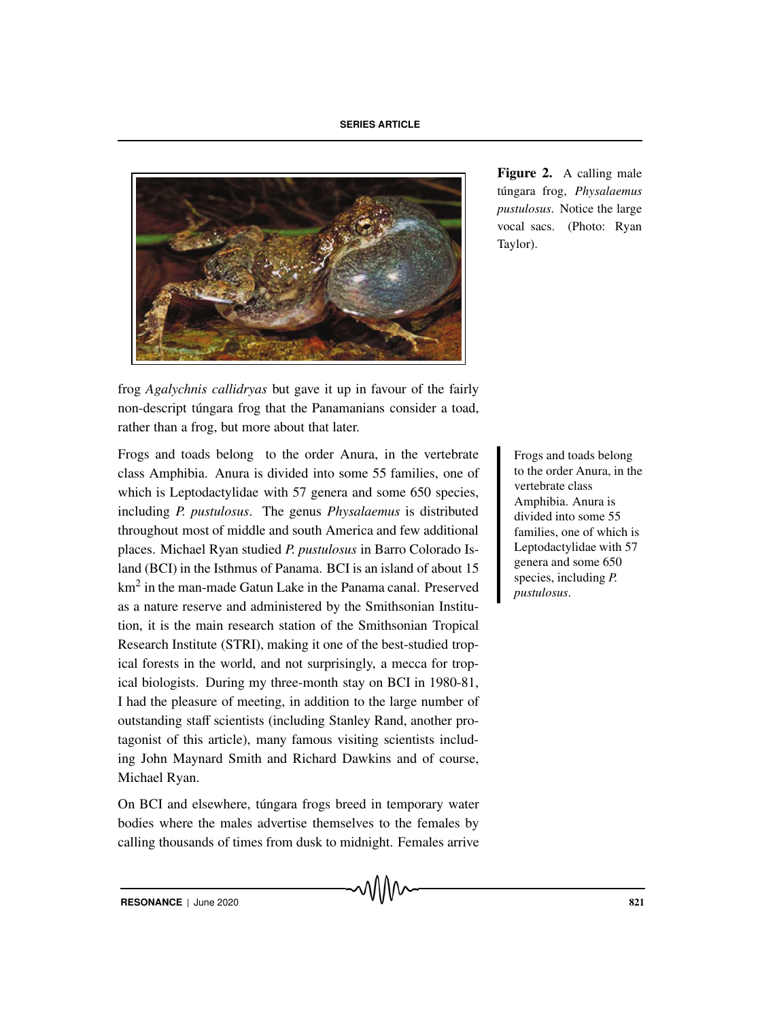

Figure 2. A calling male túngara frog, Physalaemus *pustulosus*. Notice the large vocal sacs. (Photo: Ryan Taylor).

frog *Agalychnis callidryas* but gave it up in favour of the fairly non-descript túngara frog that the Panamanians consider a toad, rather than a frog, but more about that later.

Frogs and toads belong to the order Anura, in the vertebrate Frogs and toads belong class Amphibia. Anura is divided into some 55 families, one of which is Leptodactylidae with 57 genera and some 650 species, including *P. pustulosus*. The genus *Physalaemus* is distributed throughout most of middle and south America and few additional places. Michael Ryan studied *P. pustulosus* in Barro Colorado Island (BCI) in the Isthmus of Panama. BCI is an island of about 15 km<sup>2</sup> in the man-made Gatun Lake in the Panama canal. Preserved as a nature reserve and administered by the Smithsonian Institution, it is the main research station of the Smithsonian Tropical Research Institute (STRI), making it one of the best-studied tropical forests in the world, and not surprisingly, a mecca for tropical biologists. During my three-month stay on BCI in 1980-81, I had the pleasure of meeting, in addition to the large number of outstanding staff scientists (including Stanley Rand, another protagonist of this article), many famous visiting scientists including John Maynard Smith and Richard Dawkins and of course, Michael Ryan.

On BCI and elsewhere, túngara frogs breed in temporary water bodies where the males advertise themselves to the females by calling thousands of times from dusk to midnight. Females arrive to the order Anura, in the vertebrate class Amphibia. Anura is divided into some 55 families, one of which is Leptodactylidae with 57 genera and some 650 species, including *P. pustulosus*.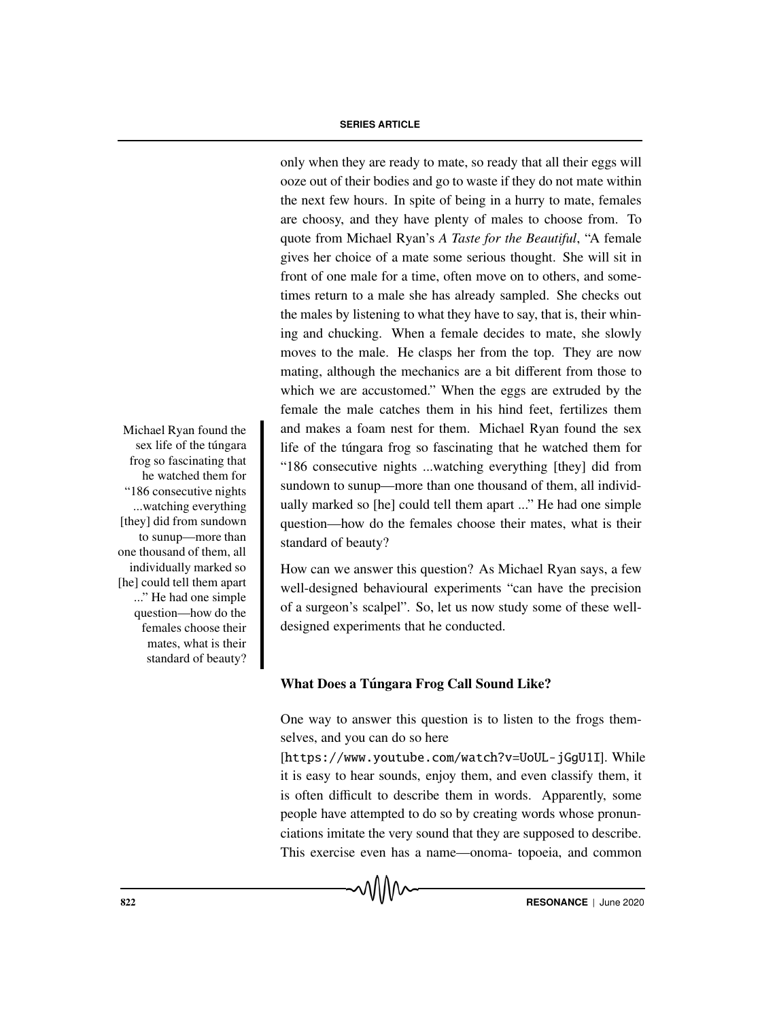only when they are ready to mate, so ready that all their eggs will ooze out of their bodies and go to waste if they do not mate within the next few hours. In spite of being in a hurry to mate, females are choosy, and they have plenty of males to choose from. To quote from Michael Ryan's *A Taste for the Beautiful*, "A female gives her choice of a mate some serious thought. She will sit in front of one male for a time, often move on to others, and sometimes return to a male she has already sampled. She checks out the males by listening to what they have to say, that is, their whining and chucking. When a female decides to mate, she slowly moves to the male. He clasps her from the top. They are now mating, although the mechanics are a bit different from those to which we are accustomed." When the eggs are extruded by the female the male catches them in his hind feet, fertilizes them Michael Ryan found the and makes a foam nest for them. Michael Ryan found the sex life of the túngara frog so fascinating that he watched them for "186 consecutive nights ...watching everything [they] did from sundown to sunup—more than one thousand of them, all individually marked so [he] could tell them apart ..." He had one simple question—how do the females choose their mates, what is their standard of beauty?

> How can we answer this question? As Michael Ryan says, a few well-designed behavioural experiments "can have the precision of a surgeon's scalpel". So, let us now study some of these welldesigned experiments that he conducted.

# What Does a Túngara Frog Call Sound Like?

One way to answer this question is to listen to the frogs themselves, and you can do so here

[https://www.youtube.com/watch?v=UoUL-jGgU1I]. While it is easy to hear sounds, enjoy them, and even classify them, it is often difficult to describe them in words. Apparently, some people have attempted to do so by creating words whose pronunciations imitate the very sound that they are supposed to describe. This exercise even has a name—onoma- topoeia, and common

sex life of the túngara frog so fascinating that he watched them for "186 consecutive nights ...watching everything [they] did from sundown to sunup—more than one thousand of them, all individually marked so [he] could tell them apart ..." He had one simple question—how do the females choose their mates, what is their standard of beauty?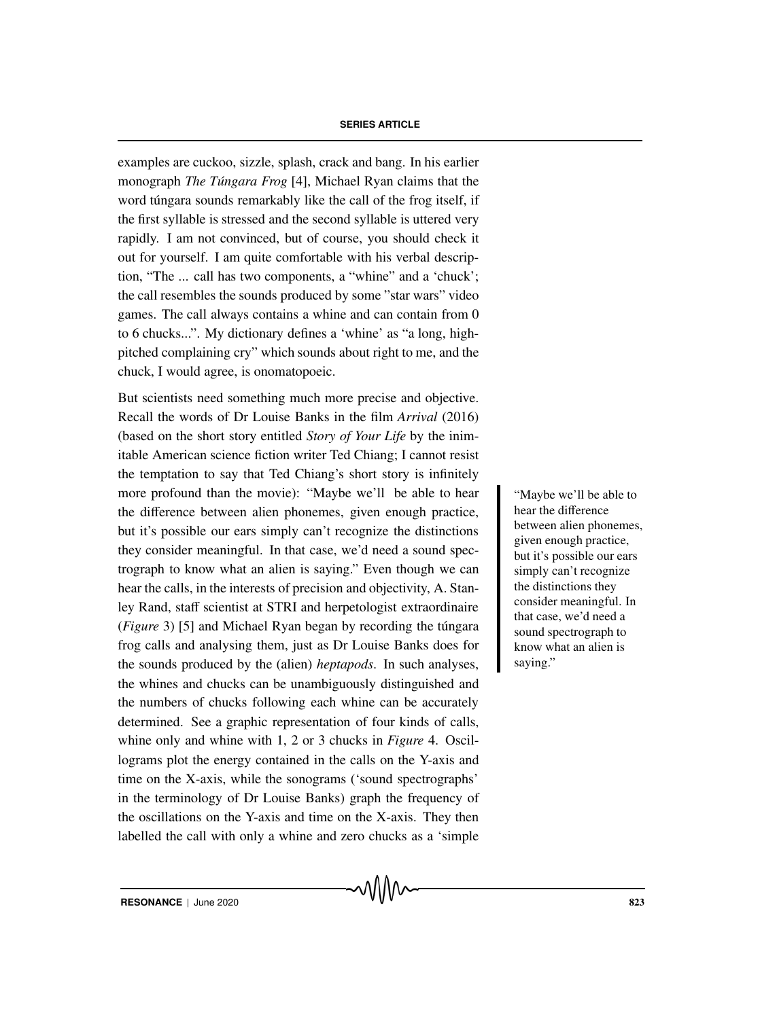examples are cuckoo, sizzle, splash, crack and bang. In his earlier monograph *The Túngara Frog* [4], Michael Ryan claims that the word túngara sounds remarkably like the call of the frog itself, if the first syllable is stressed and the second syllable is uttered very rapidly. I am not convinced, but of course, you should check it out for yourself. I am quite comfortable with his verbal description, "The ... call has two components, a "whine" and a 'chuck'; the call resembles the sounds produced by some "star wars" video games. The call always contains a whine and can contain from 0 to 6 chucks...". My dictionary defines a 'whine' as "a long, highpitched complaining cry" which sounds about right to me, and the chuck, I would agree, is onomatopoeic.

But scientists need something much more precise and objective. Recall the words of Dr Louise Banks in the film *Arrival* (2016) (based on the short story entitled *Story of Your Life* by the inimitable American science fiction writer Ted Chiang; I cannot resist the temptation to say that Ted Chiang's short story is infinitely more profound than the movie): "Maybe we'll be able to hear "Maybe we'll be able to the difference between alien phonemes, given enough practice, but it's possible our ears simply can't recognize the distinctions they consider meaningful. In that case, we'd need a sound spectrograph to know what an alien is saying." Even though we can hear the calls, in the interests of precision and objectivity, A. Stanley Rand, staff scientist at STRI and herpetologist extraordinaire (*Figure* 3) [5] and Michael Ryan began by recording the tungara frog calls and analysing them, just as Dr Louise Banks does for the sounds produced by the (alien) *heptapods*. In such analyses, the whines and chucks can be unambiguously distinguished and the numbers of chucks following each whine can be accurately determined. See a graphic representation of four kinds of calls, whine only and whine with 1, 2 or 3 chucks in *Figure* 4. Oscillograms plot the energy contained in the calls on the Y-axis and time on the X-axis, while the sonograms ('sound spectrographs' in the terminology of Dr Louise Banks) graph the frequency of the oscillations on the Y-axis and time on the X-axis. They then labelled the call with only a whine and zero chucks as a 'simple

hear the difference between alien phonemes, given enough practice, but it's possible our ears simply can't recognize the distinctions they consider meaningful. In that case, we'd need a sound spectrograph to know what an alien is saying."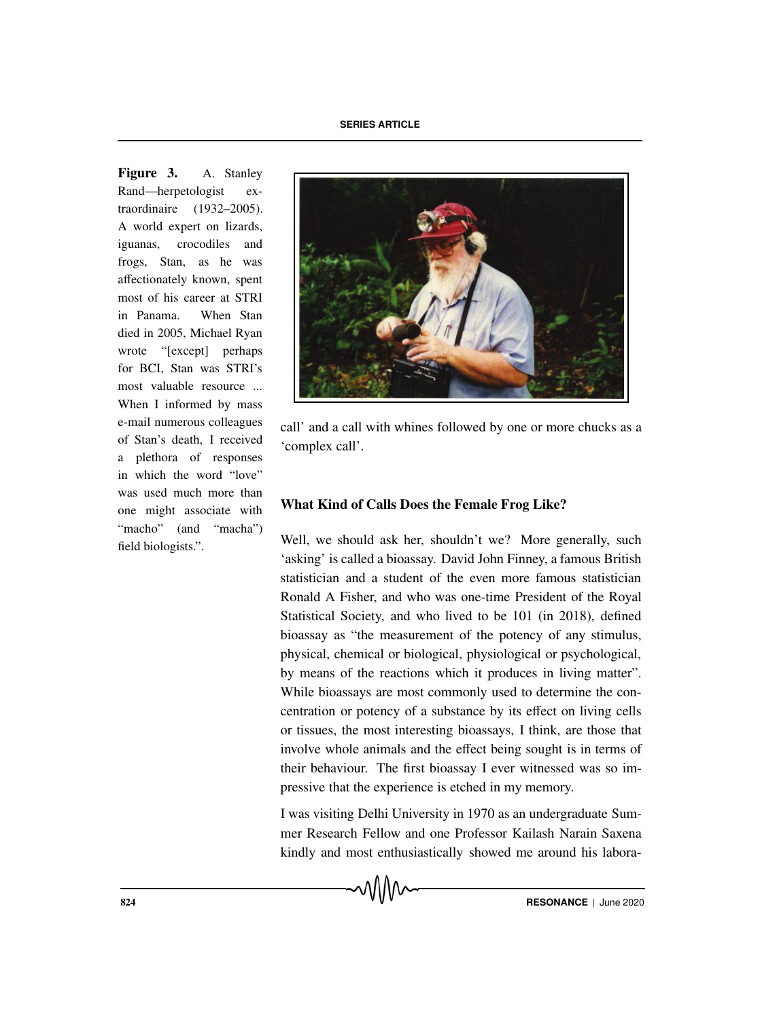**SERIES ARTICLE**

Figure 3. A. Stanley Rand—herpetologist extraordinaire (1932–2005). A world expert on lizards, iguanas, crocodiles and frogs, Stan, as he was affectionately known, spent most of his career at STRI in Panama. When Stan died in 2005, Michael Ryan wrote "[except] perhaps for BCI, Stan was STRI's most valuable resource ... When I informed by mass e-mail numerous colleagues of Stan's death, I received a plethora of responses in which the word "love" was used much more than one might associate with "macho" (and "macha") field biologists.".



call' and a call with whines followed by one or more chucks as a 'complex call'.

# What Kind of Calls Does the Female Frog Like?

Well, we should ask her, shouldn't we? More generally, such 'asking' is called a bioassay. David John Finney, a famous British statistician and a student of the even more famous statistician Ronald A Fisher, and who was one-time President of the Royal Statistical Society, and who lived to be 101 (in 2018), defined bioassay as "the measurement of the potency of any stimulus, physical, chemical or biological, physiological or psychological, by means of the reactions which it produces in living matter". While bioassays are most commonly used to determine the concentration or potency of a substance by its effect on living cells or tissues, the most interesting bioassays, I think, are those that involve whole animals and the effect being sought is in terms of their behaviour. The first bioassay I ever witnessed was so impressive that the experience is etched in my memory.

I was visiting Delhi University in 1970 as an undergraduate Summer Research Fellow and one Professor Kailash Narain Saxena kindly and most enthusiastically showed me around his labora-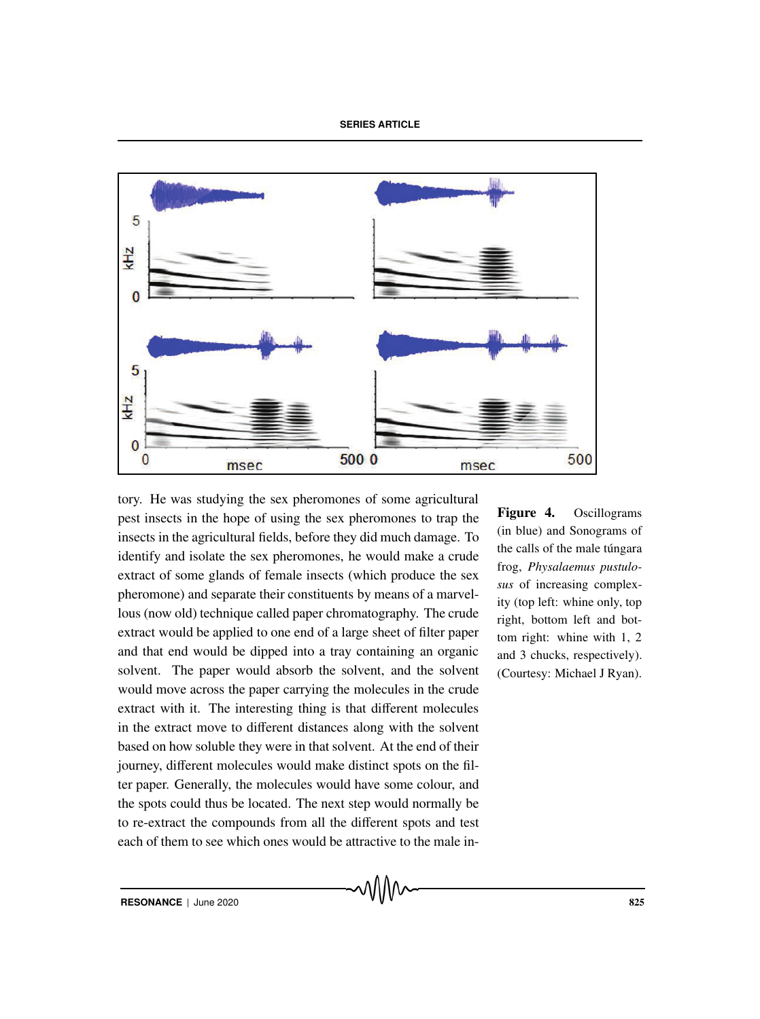

tory. He was studying the sex pheromones of some agricultural pest insects in the hope of using the sex pheromones to trap the insects in the agricultural fields, before they did much damage. To identify and isolate the sex pheromones, he would make a crude extract of some glands of female insects (which produce the sex pheromone) and separate their constituents by means of a marvellous (now old) technique called paper chromatography. The crude extract would be applied to one end of a large sheet of filter paper and that end would be dipped into a tray containing an organic solvent. The paper would absorb the solvent, and the solvent would move across the paper carrying the molecules in the crude extract with it. The interesting thing is that different molecules in the extract move to different distances along with the solvent based on how soluble they were in that solvent. At the end of their journey, different molecules would make distinct spots on the filter paper. Generally, the molecules would have some colour, and the spots could thus be located. The next step would normally be to re-extract the compounds from all the different spots and test each of them to see which ones would be attractive to the male in-

Figure 4. Oscillograms (in blue) and Sonograms of the calls of the male túngara frog, *Physalaemus pustulosus* of increasing complexity (top left: whine only, top right, bottom left and bottom right: whine with 1, 2 and 3 chucks, respectively). (Courtesy: Michael J Ryan).

**RESONANCE** | June 2020 825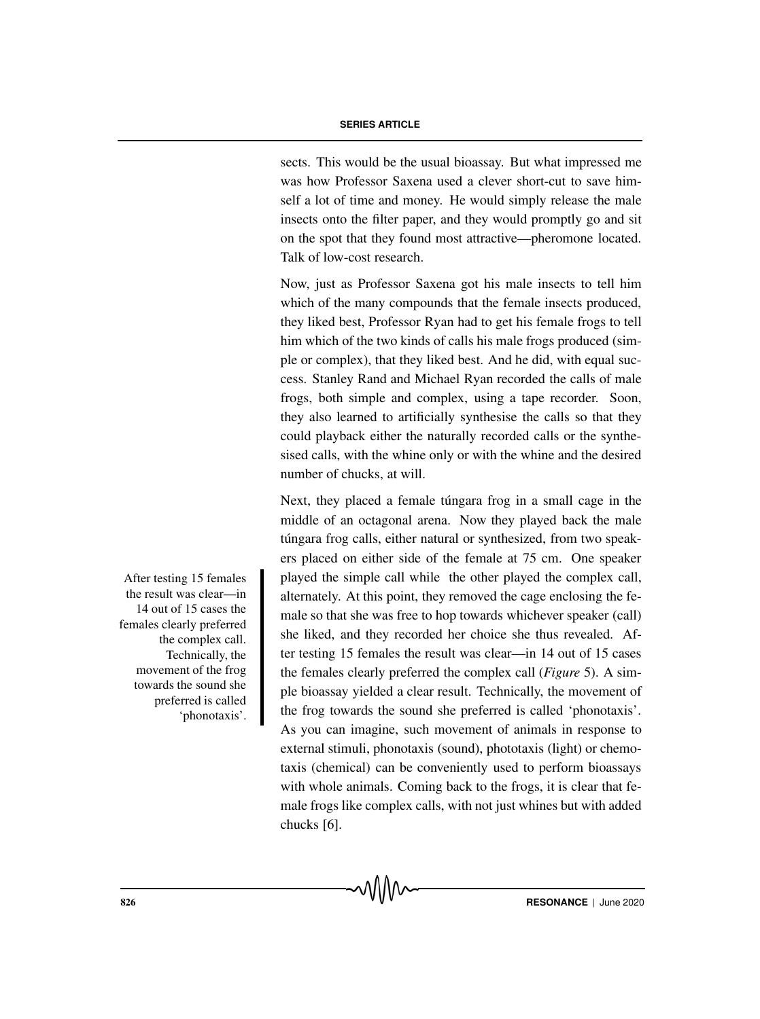sects. This would be the usual bioassay. But what impressed me was how Professor Saxena used a clever short-cut to save himself a lot of time and money. He would simply release the male insects onto the filter paper, and they would promptly go and sit on the spot that they found most attractive—pheromone located. Talk of low-cost research.

Now, just as Professor Saxena got his male insects to tell him which of the many compounds that the female insects produced, they liked best, Professor Ryan had to get his female frogs to tell him which of the two kinds of calls his male frogs produced (simple or complex), that they liked best. And he did, with equal success. Stanley Rand and Michael Ryan recorded the calls of male frogs, both simple and complex, using a tape recorder. Soon, they also learned to artificially synthesise the calls so that they could playback either the naturally recorded calls or the synthesised calls, with the whine only or with the whine and the desired number of chucks, at will.

Next, they placed a female túngara frog in a small cage in the middle of an octagonal arena. Now they played back the male túngara frog calls, either natural or synthesized, from two speakers placed on either side of the female at 75 cm. One speaker After testing 15 females played the simple call while the other played the complex call, alternately. At this point, they removed the cage enclosing the female so that she was free to hop towards whichever speaker (call) she liked, and they recorded her choice she thus revealed. After testing 15 females the result was clear—in 14 out of 15 cases the females clearly preferred the complex call (*Figure* 5). A simple bioassay yielded a clear result. Technically, the movement of the frog towards the sound she preferred is called 'phonotaxis'. As you can imagine, such movement of animals in response to external stimuli, phonotaxis (sound), phototaxis (light) or chemotaxis (chemical) can be conveniently used to perform bioassays with whole animals. Coming back to the frogs, it is clear that female frogs like complex calls, with not just whines but with added chucks [6].

the result was clear—in 14 out of 15 cases the females clearly preferred the complex call. Technically, the movement of the frog towards the sound she preferred is called 'phonotaxis'.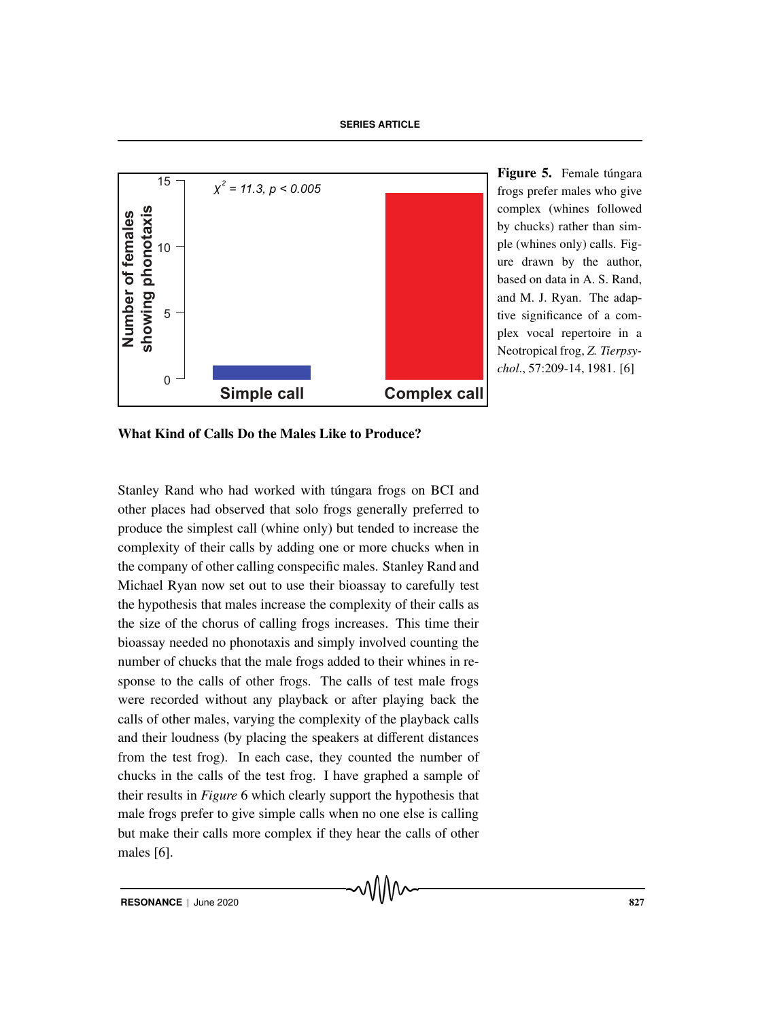**SERIES ARTICLE**



Figure 5. Female túngara frogs prefer males who give complex (whines followed by chucks) rather than simple (whines only) calls. Figure drawn by the author, based on data in A. S. Rand, and M. J. Ryan. The adaptive significance of a complex vocal repertoire in a Neotropical frog, *Z. Tierpsychol*., 57:209-14, 1981. [6]

What Kind of Calls Do the Males Like to Produce?

Stanley Rand who had worked with túngara frogs on BCI and other places had observed that solo frogs generally preferred to produce the simplest call (whine only) but tended to increase the complexity of their calls by adding one or more chucks when in the company of other calling conspecific males. Stanley Rand and Michael Ryan now set out to use their bioassay to carefully test the hypothesis that males increase the complexity of their calls as the size of the chorus of calling frogs increases. This time their bioassay needed no phonotaxis and simply involved counting the number of chucks that the male frogs added to their whines in response to the calls of other frogs. The calls of test male frogs were recorded without any playback or after playing back the calls of other males, varying the complexity of the playback calls and their loudness (by placing the speakers at different distances from the test frog). In each case, they counted the number of chucks in the calls of the test frog. I have graphed a sample of their results in *Figure* 6 which clearly support the hypothesis that male frogs prefer to give simple calls when no one else is calling but make their calls more complex if they hear the calls of other males [6].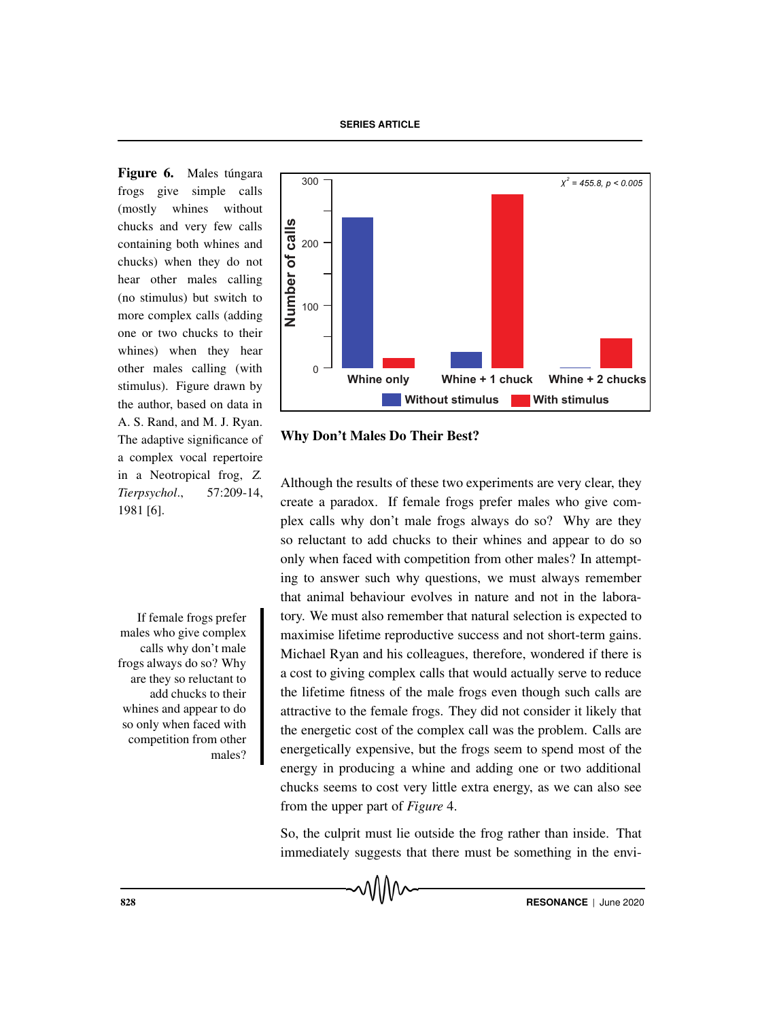Figure 6. Males túngara frogs give simple calls (mostly whines without chucks and very few calls containing both whines and chucks) when they do not hear other males calling (no stimulus) but switch to more complex calls (adding one or two chucks to their whines) when they hear other males calling (with stimulus). Figure drawn by the author, based on data in A. S. Rand, and M. J. Ryan. The adaptive significance of a complex vocal repertoire in a Neotropical frog, *Z. Tierpsychol*., 57:209-14, 1981 [6].

If female frogs prefer males who give complex calls why don't male frogs always do so? Why are they so reluctant to add chucks to their whines and appear to do so only when faced with competition from other males?



Why Don't Males Do Their Best?

Although the results of these two experiments are very clear, they create a paradox. If female frogs prefer males who give complex calls why don't male frogs always do so? Why are they so reluctant to add chucks to their whines and appear to do so only when faced with competition from other males? In attempting to answer such why questions, we must always remember that animal behaviour evolves in nature and not in the laboratory. We must also remember that natural selection is expected to maximise lifetime reproductive success and not short-term gains. Michael Ryan and his colleagues, therefore, wondered if there is a cost to giving complex calls that would actually serve to reduce the lifetime fitness of the male frogs even though such calls are attractive to the female frogs. They did not consider it likely that the energetic cost of the complex call was the problem. Calls are energetically expensive, but the frogs seem to spend most of the energy in producing a whine and adding one or two additional chucks seems to cost very little extra energy, as we can also see from the upper part of *Figure* 4.

So, the culprit must lie outside the frog rather than inside. That immediately suggests that there must be something in the envi-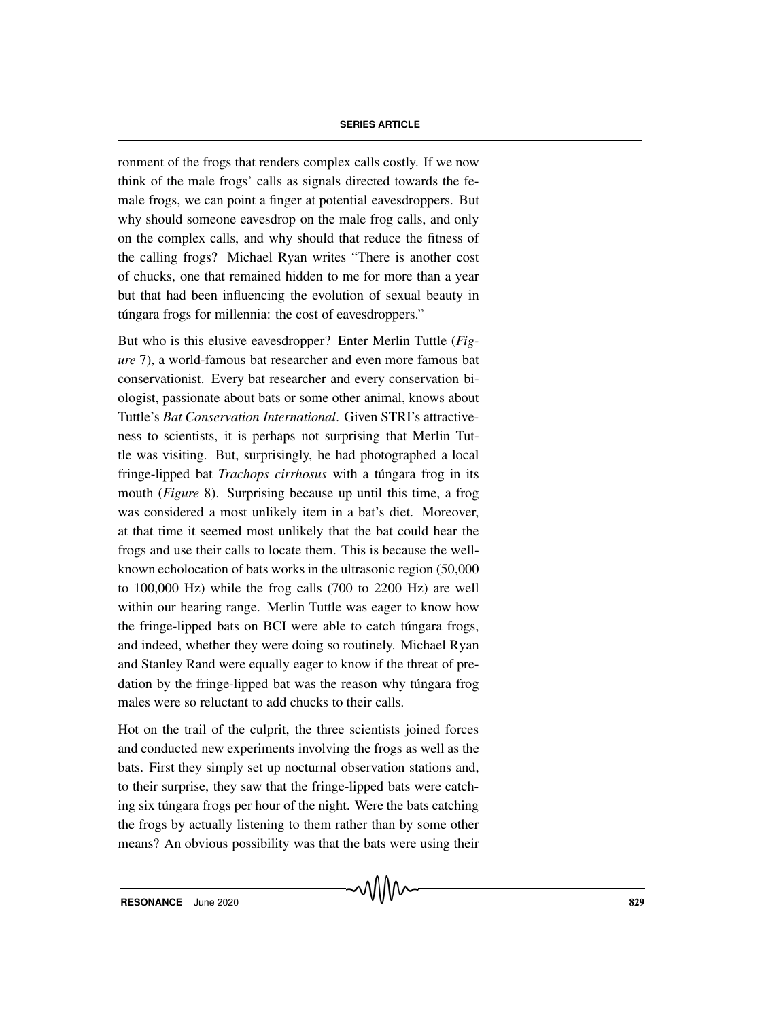ronment of the frogs that renders complex calls costly. If we now think of the male frogs' calls as signals directed towards the female frogs, we can point a finger at potential eavesdroppers. But why should someone eavesdrop on the male frog calls, and only on the complex calls, and why should that reduce the fitness of the calling frogs? Michael Ryan writes "There is another cost of chucks, one that remained hidden to me for more than a year but that had been influencing the evolution of sexual beauty in túngara frogs for millennia: the cost of eavesdroppers."

But who is this elusive eavesdropper? Enter Merlin Tuttle (*Figure* 7), a world-famous bat researcher and even more famous bat conservationist. Every bat researcher and every conservation biologist, passionate about bats or some other animal, knows about Tuttle's *Bat Conservation International*. Given STRI's attractiveness to scientists, it is perhaps not surprising that Merlin Tuttle was visiting. But, surprisingly, he had photographed a local fringe-lipped bat *Trachops cirrhosus* with a túngara frog in its mouth (*Figure* 8). Surprising because up until this time, a frog was considered a most unlikely item in a bat's diet. Moreover, at that time it seemed most unlikely that the bat could hear the frogs and use their calls to locate them. This is because the wellknown echolocation of bats works in the ultrasonic region (50,000 to 100,000 Hz) while the frog calls (700 to 2200 Hz) are well within our hearing range. Merlin Tuttle was eager to know how the fringe-lipped bats on BCI were able to catch tungara frogs, and indeed, whether they were doing so routinely. Michael Ryan and Stanley Rand were equally eager to know if the threat of predation by the fringe-lipped bat was the reason why túngara frog males were so reluctant to add chucks to their calls.

Hot on the trail of the culprit, the three scientists joined forces and conducted new experiments involving the frogs as well as the bats. First they simply set up nocturnal observation stations and, to their surprise, they saw that the fringe-lipped bats were catching six túngara frogs per hour of the night. Were the bats catching the frogs by actually listening to them rather than by some other means? An obvious possibility was that the bats were using their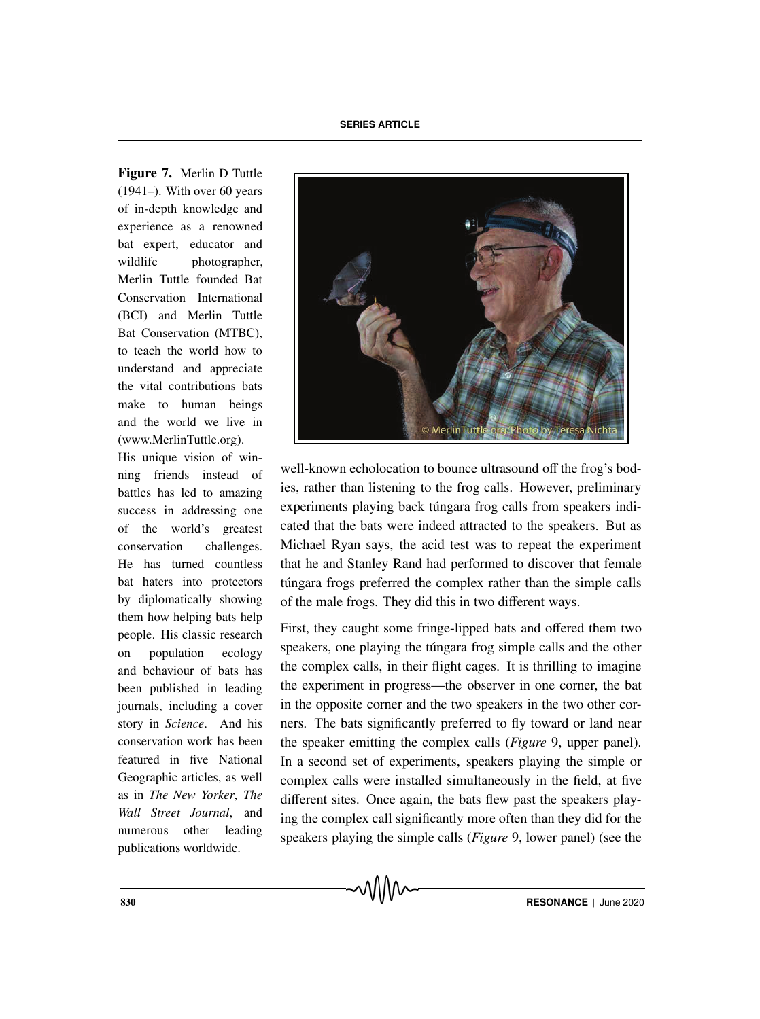Figure 7. Merlin D Tuttle (1941–). With over 60 years of in-depth knowledge and experience as a renowned bat expert, educator and wildlife photographer. Merlin Tuttle founded Bat Conservation International (BCI) and Merlin Tuttle Bat Conservation (MTBC), to teach the world how to understand and appreciate the vital contributions bats make to human beings and the world we live in (www.MerlinTuttle.org).

His unique vision of winning friends instead of battles has led to amazing success in addressing one of the world's greatest conservation challenges. He has turned countless bat haters into protectors by diplomatically showing them how helping bats help people. His classic research on population ecology and behaviour of bats has been published in leading journals, including a cover story in *Science*. And his conservation work has been featured in five National Geographic articles, as well as in *The New Yorker*, *The Wall Street Journal*, and numerous other leading publications worldwide.



well-known echolocation to bounce ultrasound off the frog's bodies, rather than listening to the frog calls. However, preliminary experiments playing back túngara frog calls from speakers indicated that the bats were indeed attracted to the speakers. But as Michael Ryan says, the acid test was to repeat the experiment that he and Stanley Rand had performed to discover that female túngara frogs preferred the complex rather than the simple calls of the male frogs. They did this in two different ways.

First, they caught some fringe-lipped bats and offered them two speakers, one playing the túngara frog simple calls and the other the complex calls, in their flight cages. It is thrilling to imagine the experiment in progress—the observer in one corner, the bat in the opposite corner and the two speakers in the two other corners. The bats significantly preferred to fly toward or land near the speaker emitting the complex calls (*Figure* 9, upper panel). In a second set of experiments, speakers playing the simple or complex calls were installed simultaneously in the field, at five different sites. Once again, the bats flew past the speakers playing the complex call significantly more often than they did for the speakers playing the simple calls (*Figure* 9, lower panel) (see the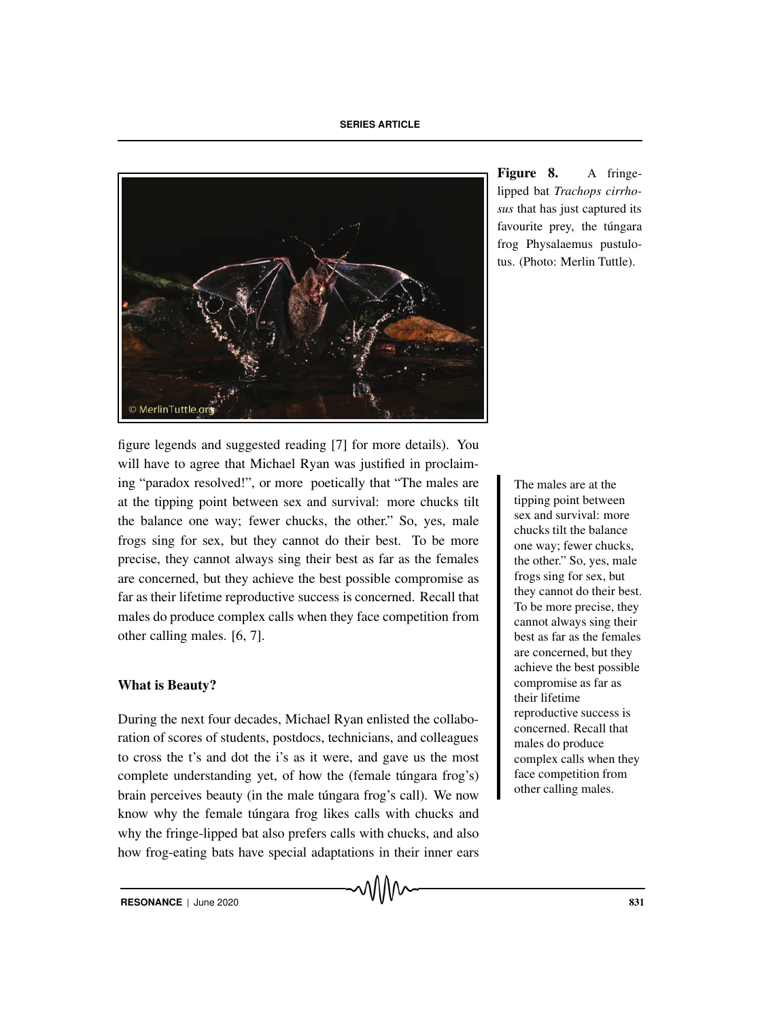**SERIES ARTICLE**



figure legends and suggested reading [7] for more details). You will have to agree that Michael Ryan was justified in proclaiming "paradox resolved!", or more poetically that "The males are The males are at the at the tipping point between sex and survival: more chucks tilt the balance one way; fewer chucks, the other." So, yes, male frogs sing for sex, but they cannot do their best. To be more precise, they cannot always sing their best as far as the females are concerned, but they achieve the best possible compromise as far as their lifetime reproductive success is concerned. Recall that males do produce complex calls when they face competition from other calling males. [6, 7].

# What is Beauty?

During the next four decades, Michael Ryan enlisted the collaboration of scores of students, postdocs, technicians, and colleagues to cross the t's and dot the i's as it were, and gave us the most complete understanding yet, of how the (female túngara frog's) brain perceives beauty (in the male tungara frog's call). We now know why the female túngara frog likes calls with chucks and why the fringe-lipped bat also prefers calls with chucks, and also how frog-eating bats have special adaptations in their inner ears Figure 8. A fringelipped bat *Trachops cirrhosus* that has just captured its favourite prey, the túngara frog Physalaemus pustulotus. (Photo: Merlin Tuttle).

> tipping point between sex and survival: more chucks tilt the balance one way; fewer chucks, the other." So, yes, male frogs sing for sex, but they cannot do their best. To be more precise, they cannot always sing their best as far as the females are concerned, but they achieve the best possible compromise as far as their lifetime reproductive success is concerned. Recall that males do produce complex calls when they face competition from other calling males.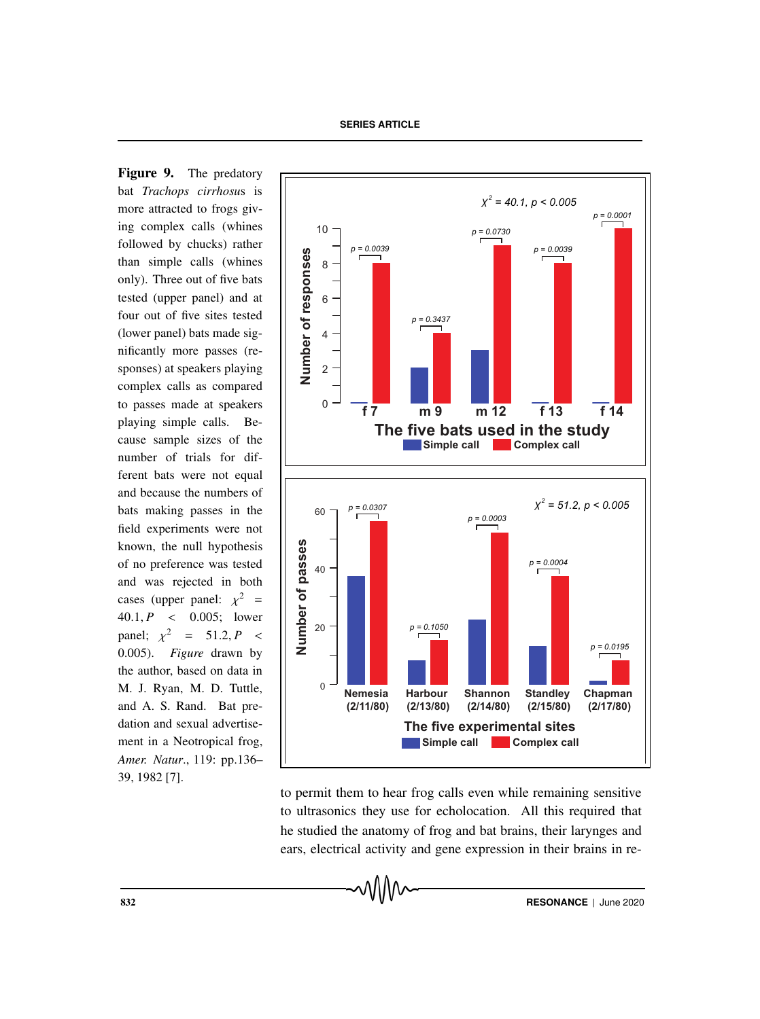Figure 9. The predatory bat *Trachops cirrhosu*s is more attracted to frogs giving complex calls (whines followed by chucks) rather than simple calls (whines only). Three out of five bats tested (upper panel) and at four out of five sites tested (lower panel) bats made significantly more passes (responses) at speakers playing complex calls as compared to passes made at speakers playing simple calls. Because sample sizes of the number of trials for different bats were not equal and because the numbers of bats making passes in the field experiments were not known, the null hypothesis of no preference was tested and was rejected in both cases (upper panel:  $\chi^2$  = 40.1, *P* < 0.005; lower panel;  $\chi^2$  = 51.2, *P* < 0.005). *Figure* drawn by the author, based on data in M. J. Ryan, M. D. Tuttle, and A. S. Rand. Bat predation and sexual advertisement in a Neotropical frog, *Amer. Natur*., 119: pp.136– 39, 1982 [7].



to permit them to hear frog calls even while remaining sensitive to ultrasonics they use for echolocation. All this required that he studied the anatomy of frog and bat brains, their larynges and ears, electrical activity and gene expression in their brains in re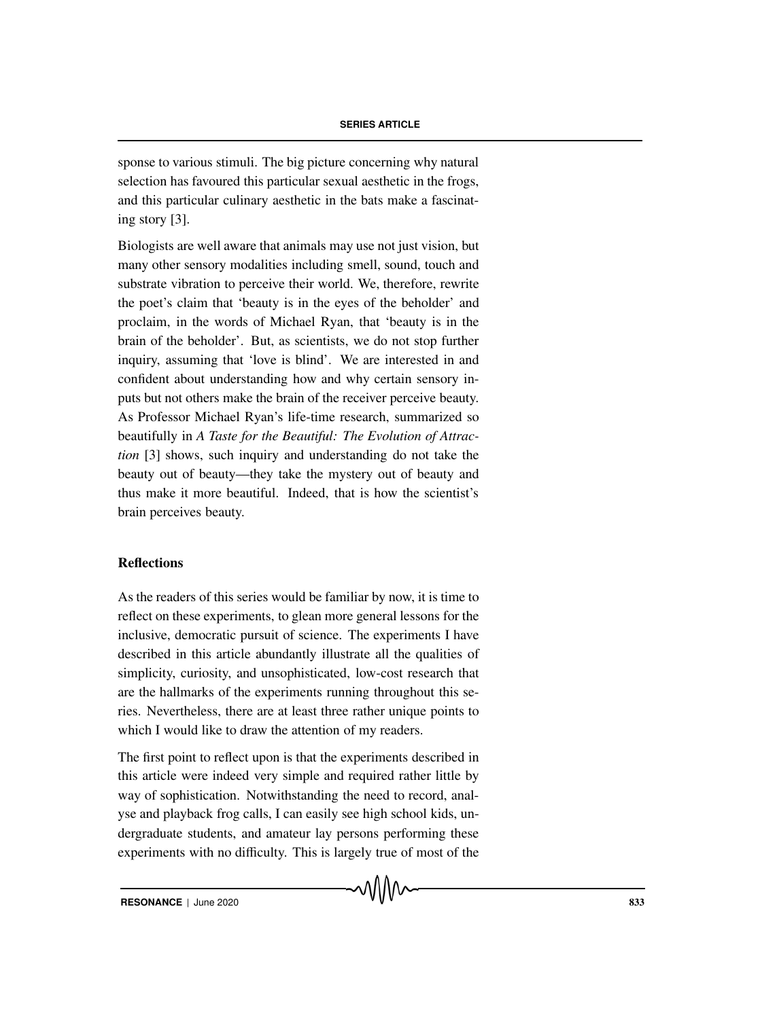sponse to various stimuli. The big picture concerning why natural selection has favoured this particular sexual aesthetic in the frogs, and this particular culinary aesthetic in the bats make a fascinating story [3].

Biologists are well aware that animals may use not just vision, but many other sensory modalities including smell, sound, touch and substrate vibration to perceive their world. We, therefore, rewrite the poet's claim that 'beauty is in the eyes of the beholder' and proclaim, in the words of Michael Ryan, that 'beauty is in the brain of the beholder'. But, as scientists, we do not stop further inquiry, assuming that 'love is blind'. We are interested in and confident about understanding how and why certain sensory inputs but not others make the brain of the receiver perceive beauty. As Professor Michael Ryan's life-time research, summarized so beautifully in *A Taste for the Beautiful: The Evolution of Attraction* [3] shows, such inquiry and understanding do not take the beauty out of beauty—they take the mystery out of beauty and thus make it more beautiful. Indeed, that is how the scientist's brain perceives beauty.

# Reflections

As the readers of this series would be familiar by now, it is time to reflect on these experiments, to glean more general lessons for the inclusive, democratic pursuit of science. The experiments I have described in this article abundantly illustrate all the qualities of simplicity, curiosity, and unsophisticated, low-cost research that are the hallmarks of the experiments running throughout this series. Nevertheless, there are at least three rather unique points to which I would like to draw the attention of my readers.

The first point to reflect upon is that the experiments described in this article were indeed very simple and required rather little by way of sophistication. Notwithstanding the need to record, analyse and playback frog calls, I can easily see high school kids, undergraduate students, and amateur lay persons performing these experiments with no difficulty. This is largely true of most of the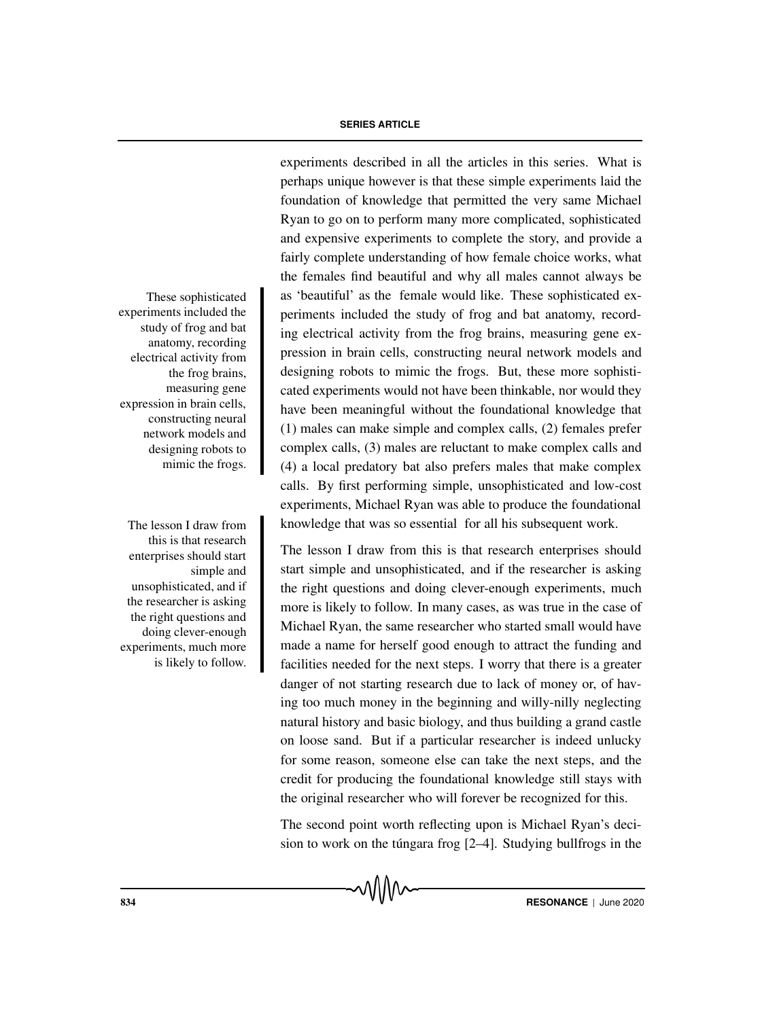experiments included the study of frog and bat anatomy, recording electrical activity from the frog brains, measuring gene expression in brain cells, constructing neural network models and designing robots to mimic the frogs.

this is that research enterprises should start simple and unsophisticated, and if the researcher is asking the right questions and doing clever-enough experiments, much more is likely to follow.

experiments described in all the articles in this series. What is perhaps unique however is that these simple experiments laid the foundation of knowledge that permitted the very same Michael Ryan to go on to perform many more complicated, sophisticated and expensive experiments to complete the story, and provide a fairly complete understanding of how female choice works, what the females find beautiful and why all males cannot always be These sophisticated as 'beautiful' as the female would like. These sophisticated experiments included the study of frog and bat anatomy, recording electrical activity from the frog brains, measuring gene expression in brain cells, constructing neural network models and designing robots to mimic the frogs. But, these more sophisticated experiments would not have been thinkable, nor would they have been meaningful without the foundational knowledge that (1) males can make simple and complex calls, (2) females prefer complex calls, (3) males are reluctant to make complex calls and (4) a local predatory bat also prefers males that make complex calls. By first performing simple, unsophisticated and low-cost experiments, Michael Ryan was able to produce the foundational The lesson I draw from knowledge that was so essential for all his subsequent work.

> The lesson I draw from this is that research enterprises should start simple and unsophisticated, and if the researcher is asking the right questions and doing clever-enough experiments, much more is likely to follow. In many cases, as was true in the case of Michael Ryan, the same researcher who started small would have made a name for herself good enough to attract the funding and facilities needed for the next steps. I worry that there is a greater danger of not starting research due to lack of money or, of having too much money in the beginning and willy-nilly neglecting natural history and basic biology, and thus building a grand castle on loose sand. But if a particular researcher is indeed unlucky for some reason, someone else can take the next steps, and the credit for producing the foundational knowledge still stays with the original researcher who will forever be recognized for this.

> The second point worth reflecting upon is Michael Ryan's decision to work on the tungara frog  $[2-4]$ . Studying bullfrogs in the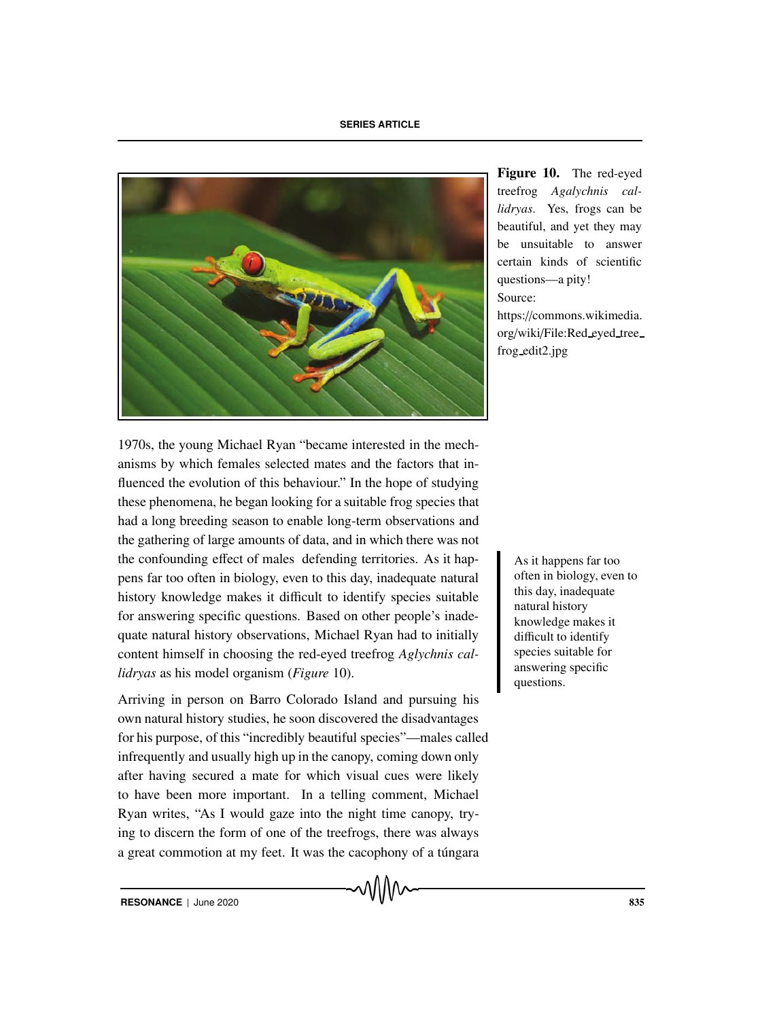

Figure 10. The red-eyed treefrog *Agalychnis callidryas*. Yes, frogs can be beautiful, and yet they may be unsuitable to answer certain kinds of scientific questions—a pity! Source: https://commons.wikimedia.

org/wiki/File:Red eyed tree frog edit2.jpg

1970s, the young Michael Ryan "became interested in the mechanisms by which females selected mates and the factors that influenced the evolution of this behaviour." In the hope of studying these phenomena, he began looking for a suitable frog species that had a long breeding season to enable long-term observations and the gathering of large amounts of data, and in which there was not the confounding effect of males defending territories. As it happens far to the confounding effect of males defending territories. As it happens far too pens far too often in biology, even to this day, inadequate natural history knowledge makes it difficult to identify species suitable for answering specific questions. Based on other people's inadequate natural history observations, Michael Ryan had to initially content himself in choosing the red-eyed treefrog *Aglychnis callidryas* as his model organism (*Figure* 10).

Arriving in person on Barro Colorado Island and pursuing his own natural history studies, he soon discovered the disadvantages for his purpose, of this "incredibly beautiful species"—males called infrequently and usually high up in the canopy, coming down only after having secured a mate for which visual cues were likely to have been more important. In a telling comment, Michael Ryan writes, "As I would gaze into the night time canopy, trying to discern the form of one of the treefrogs, there was always a great commotion at my feet. It was the cacophony of a túngara

often in biology, even to this day, inadequate natural history knowledge makes it difficult to identify species suitable for answering specific questions.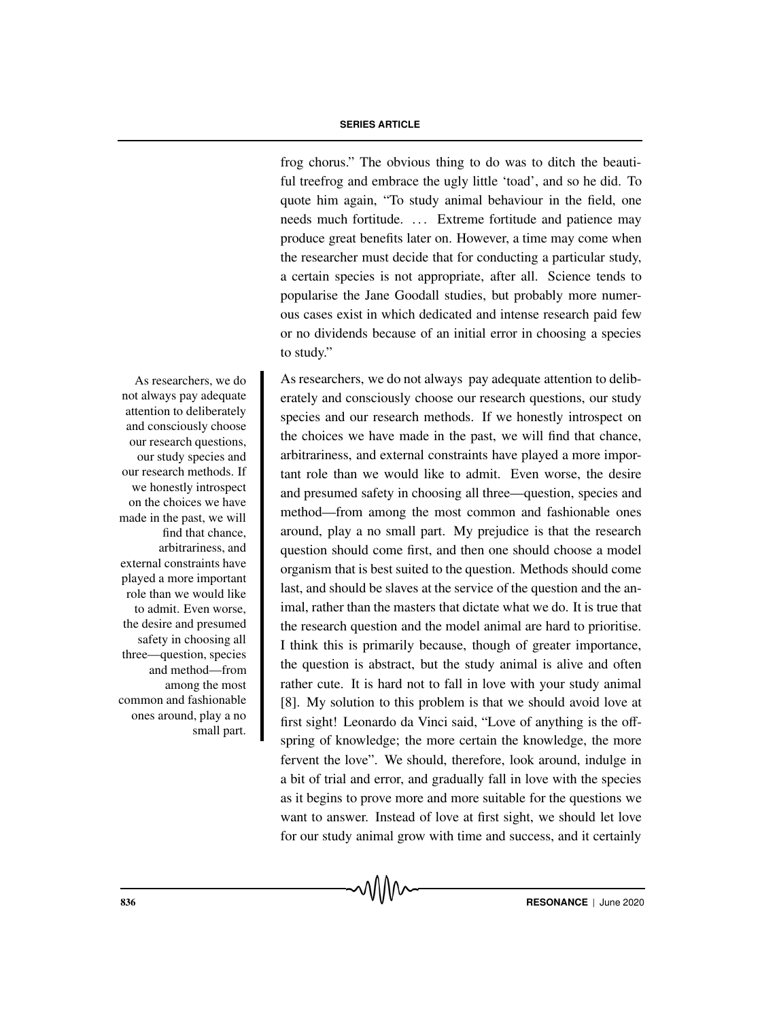frog chorus." The obvious thing to do was to ditch the beautiful treefrog and embrace the ugly little 'toad', and so he did. To quote him again, "To study animal behaviour in the field, one needs much fortitude. ... Extreme fortitude and patience may produce great benefits later on. However, a time may come when the researcher must decide that for conducting a particular study, a certain species is not appropriate, after all. Science tends to popularise the Jane Goodall studies, but probably more numerous cases exist in which dedicated and intense research paid few or no dividends because of an initial error in choosing a species to study."

As researchers, we do <br>As researchers, we do not always pay adequate attention to deliberately and consciously choose our research questions, our study species and our research methods. If we honestly introspect on the choices we have made in the past, we will find that chance, arbitrariness, and external constraints have played a more important role than we would like to admit. Even worse, the desire and presumed safety in choosing all three—question, species and method—from among the most common and fashionable ones around, play a no small part. My prejudice is that the research question should come first, and then one should choose a model organism that is best suited to the question. Methods should come last, and should be slaves at the service of the question and the animal, rather than the masters that dictate what we do. It is true that the research question and the model animal are hard to prioritise. I think this is primarily because, though of greater importance, the question is abstract, but the study animal is alive and often rather cute. It is hard not to fall in love with your study animal [8]. My solution to this problem is that we should avoid love at first sight! Leonardo da Vinci said, "Love of anything is the offspring of knowledge; the more certain the knowledge, the more fervent the love". We should, therefore, look around, indulge in a bit of trial and error, and gradually fall in love with the species as it begins to prove more and more suitable for the questions we want to answer. Instead of love at first sight, we should let love for our study animal grow with time and success, and it certainly

not always pay adequate attention to deliberately and consciously choose our research questions, our study species and our research methods. If we honestly introspect on the choices we have made in the past, we will find that chance, arbitrariness, and external constraints have played a more important role than we would like to admit. Even worse, the desire and presumed safety in choosing all three—question, species and method—from among the most common and fashionable ones around, play a no small part.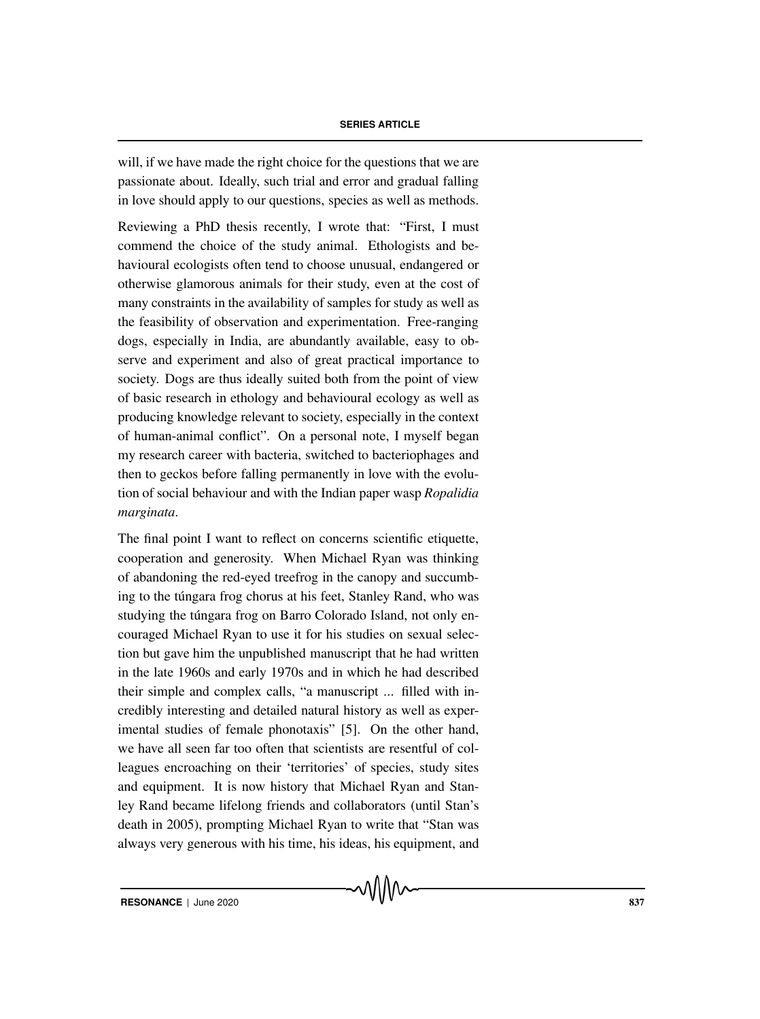will, if we have made the right choice for the questions that we are passionate about. Ideally, such trial and error and gradual falling in love should apply to our questions, species as well as methods.

Reviewing a PhD thesis recently, I wrote that: "First, I must commend the choice of the study animal. Ethologists and behavioural ecologists often tend to choose unusual, endangered or otherwise glamorous animals for their study, even at the cost of many constraints in the availability of samples for study as well as the feasibility of observation and experimentation. Free-ranging dogs, especially in India, are abundantly available, easy to observe and experiment and also of great practical importance to society. Dogs are thus ideally suited both from the point of view of basic research in ethology and behavioural ecology as well as producing knowledge relevant to society, especially in the context of human-animal conflict". On a personal note, I myself began my research career with bacteria, switched to bacteriophages and then to geckos before falling permanently in love with the evolution of social behaviour and with the Indian paper wasp *Ropalidia marginata*.

The final point I want to reflect on concerns scientific etiquette, cooperation and generosity. When Michael Ryan was thinking of abandoning the red-eyed treefrog in the canopy and succumbing to the túngara frog chorus at his feet, Stanley Rand, who was studying the túngara frog on Barro Colorado Island, not only encouraged Michael Ryan to use it for his studies on sexual selection but gave him the unpublished manuscript that he had written in the late 1960s and early 1970s and in which he had described their simple and complex calls, "a manuscript ... filled with incredibly interesting and detailed natural history as well as experimental studies of female phonotaxis" [5]. On the other hand, we have all seen far too often that scientists are resentful of colleagues encroaching on their 'territories' of species, study sites and equipment. It is now history that Michael Ryan and Stanley Rand became lifelong friends and collaborators (until Stan's death in 2005), prompting Michael Ryan to write that "Stan was always very generous with his time, his ideas, his equipment, and